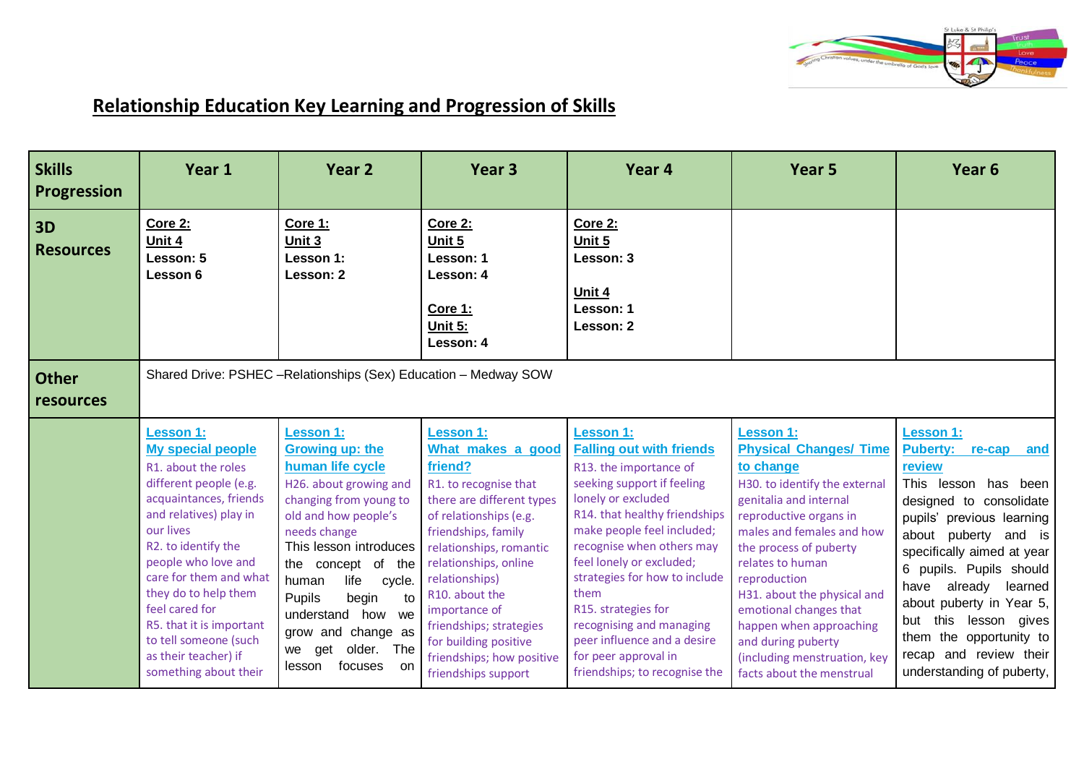

## **Relationship Education Key Learning and Progression of Skills**

| <b>Skills</b><br><b>Progression</b> | Year 1                                                                                                                                                                                                                                                                                                                                                                                 | Year <sub>2</sub>                                                                                                                                                                                                                                                                                                                                               | Year <sub>3</sub>                                                                                                                                                                                                                                                                                                                                                        | Year 4                                                                                                                                                                                                                                                                                                                                                                                                                                        | Year <sub>5</sub>                                                                                                                                                                                                                                                                                                                                                                                                     | Year <sub>6</sub>                                                                                                                                                                                                                                                                                                                                                                                          |  |
|-------------------------------------|----------------------------------------------------------------------------------------------------------------------------------------------------------------------------------------------------------------------------------------------------------------------------------------------------------------------------------------------------------------------------------------|-----------------------------------------------------------------------------------------------------------------------------------------------------------------------------------------------------------------------------------------------------------------------------------------------------------------------------------------------------------------|--------------------------------------------------------------------------------------------------------------------------------------------------------------------------------------------------------------------------------------------------------------------------------------------------------------------------------------------------------------------------|-----------------------------------------------------------------------------------------------------------------------------------------------------------------------------------------------------------------------------------------------------------------------------------------------------------------------------------------------------------------------------------------------------------------------------------------------|-----------------------------------------------------------------------------------------------------------------------------------------------------------------------------------------------------------------------------------------------------------------------------------------------------------------------------------------------------------------------------------------------------------------------|------------------------------------------------------------------------------------------------------------------------------------------------------------------------------------------------------------------------------------------------------------------------------------------------------------------------------------------------------------------------------------------------------------|--|
| 3D<br><b>Resources</b>              | Core 2:<br>Unit 4<br>Lesson: 5<br>Lesson 6                                                                                                                                                                                                                                                                                                                                             | <b>Core 1:</b><br>Unit <sub>3</sub><br>Lesson 1:<br>Lesson: 2                                                                                                                                                                                                                                                                                                   | <b>Core 2:</b><br>Unit 5<br>Lesson: 1<br>Lesson: 4<br>Core 1:<br>Unit 5:<br>Lesson: 4                                                                                                                                                                                                                                                                                    | <b>Core 2:</b><br>Unit 5<br>Lesson: 3<br>Unit 4<br>Lesson: 1<br>Lesson: 2                                                                                                                                                                                                                                                                                                                                                                     |                                                                                                                                                                                                                                                                                                                                                                                                                       |                                                                                                                                                                                                                                                                                                                                                                                                            |  |
| <b>Other</b><br><b>resources</b>    | Shared Drive: PSHEC - Relationships (Sex) Education - Medway SOW                                                                                                                                                                                                                                                                                                                       |                                                                                                                                                                                                                                                                                                                                                                 |                                                                                                                                                                                                                                                                                                                                                                          |                                                                                                                                                                                                                                                                                                                                                                                                                                               |                                                                                                                                                                                                                                                                                                                                                                                                                       |                                                                                                                                                                                                                                                                                                                                                                                                            |  |
|                                     | <b>Lesson 1:</b><br><b>My special people</b><br>R1. about the roles<br>different people (e.g.<br>acquaintances, friends<br>and relatives) play in<br>our lives<br>R2. to identify the<br>people who love and<br>care for them and what<br>they do to help them<br>feel cared for<br>R5. that it is important<br>to tell someone (such<br>as their teacher) if<br>something about their | <b>Lesson 1:</b><br><b>Growing up: the</b><br>human life cycle<br>H26. about growing and<br>changing from young to<br>old and how people's<br>needs change<br>This lesson introduces<br>the concept of the<br>life<br>human<br>cycle.<br>begin<br>Pupils<br>to<br>understand how we<br>grow and change as<br>older. The<br>get<br>we<br>focuses<br>lesson<br>on | <b>Lesson 1:</b><br>What makes a good<br>friend?<br>R1. to recognise that<br>there are different types<br>of relationships (e.g.<br>friendships, family<br>relationships, romantic<br>relationships, online<br>relationships)<br>R10. about the<br>importance of<br>friendships; strategies<br>for building positive<br>friendships; how positive<br>friendships support | <b>Lesson 1:</b><br><b>Falling out with friends</b><br>R13. the importance of<br>seeking support if feeling<br>lonely or excluded<br>R14. that healthy friendships<br>make people feel included;<br>recognise when others may<br>feel lonely or excluded;<br>strategies for how to include<br>them<br>R15. strategies for<br>recognising and managing<br>peer influence and a desire<br>for peer approval in<br>friendships; to recognise the | <b>Lesson 1:</b><br><b>Physical Changes/ Time</b><br>to change<br>H30. to identify the external<br>genitalia and internal<br>reproductive organs in<br>males and females and how<br>the process of puberty<br>relates to human<br>reproduction<br>H31. about the physical and<br>emotional changes that<br>happen when approaching<br>and during puberty<br>(including menstruation, key<br>facts about the menstrual | <b>Lesson 1:</b><br><b>Puberty:</b><br>and<br>re-cap<br>review<br>This lesson<br>has been<br>designed to consolidate<br>pupils' previous learning<br>about puberty and is<br>specifically aimed at year<br>6 pupils. Pupils should<br>already<br>have<br>learned<br>about puberty in Year 5,<br>this lesson gives<br>but<br>them the opportunity to<br>recap and review their<br>understanding of puberty, |  |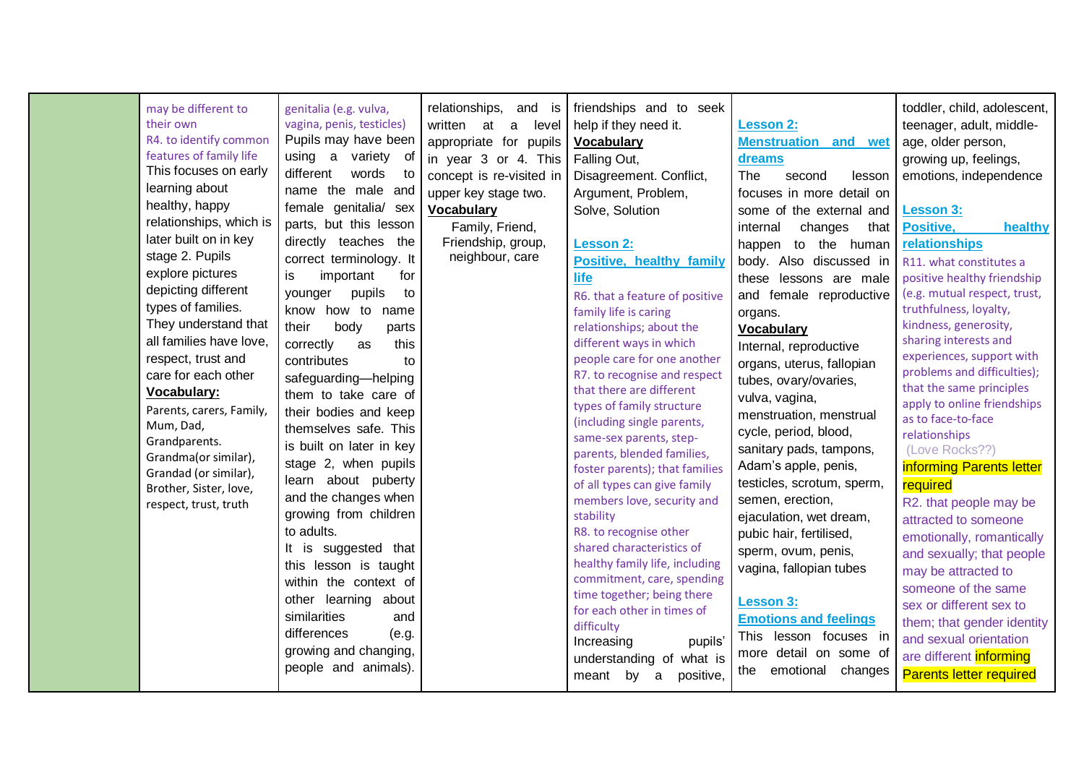| may be different to<br>their own<br>R4. to identify common<br>features of family life<br>This focuses on early<br>learning about<br>healthy, happy<br>relationships, which is<br>later built on in key<br>stage 2. Pupils<br>explore pictures<br>depicting different<br>types of families.<br>They understand that<br>all families have love,<br>respect, trust and<br>care for each other<br>Vocabulary:<br>Parents, carers, Family,<br>Mum, Dad,<br>Grandparents.<br>Grandma(or similar),<br>Grandad (or similar),<br>Brother, Sister, love,<br>respect, trust, truth | genitalia (e.g. vulva,<br>vagina, penis, testicles)<br>Pupils may have been<br>using a variety of<br>different<br>words<br>to<br>name the male and<br>female genitalia/ sex<br>parts, but this lesson<br>directly teaches the<br>correct terminology. It<br>important<br>is<br>for<br>pupils<br>younger<br>to<br>know how to name<br>their<br>body<br>parts<br>correctly<br>this<br>as<br>contributes<br>to<br>safeguarding-helping<br>them to take care of<br>their bodies and keep<br>themselves safe. This<br>is built on later in key<br>stage 2, when pupils<br>learn about puberty<br>and the changes when<br>growing from children<br>to adults.<br>It is suggested that<br>this lesson is taught<br>within the context of<br>other learning about<br>similarities<br>and | relationships, and is<br>written<br>$\mathsf{a}$<br>level<br>at<br>appropriate for pupils<br>in year 3 or 4. This<br>concept is re-visited in<br>upper key stage two.<br><b>Vocabulary</b><br>Family, Friend,<br>Friendship, group,<br>neighbour, care | friendships and to seek<br>help if they need it.<br><b>Vocabulary</b><br>Falling Out,<br>Disagreement. Conflict,<br>Argument, Problem,<br>Solve, Solution<br><b>Lesson 2:</b><br><b>Positive, healthy family</b><br>life<br>R6. that a feature of positive<br>family life is caring<br>relationships; about the<br>different ways in which<br>people care for one another<br>R7. to recognise and respect<br>that there are different<br>types of family structure<br>(including single parents,<br>same-sex parents, step-<br>parents, blended families,<br>foster parents); that families<br>of all types can give family<br>members love, security and<br>stability<br>R8. to recognise other<br>shared characteristics of<br>healthy family life, including<br>commitment, care, spending<br>time together; being there<br>for each other in times of | <b>Lesson 2:</b><br><b>Menstruation and wet</b><br>dreams<br>The<br>second<br>lesson<br>focuses in more detail on<br>some of the external and<br>changes<br>internal<br>that<br>happen to the human<br>body. Also discussed in<br>these lessons are male<br>and female reproductive<br>organs.<br><b>Vocabulary</b><br>Internal, reproductive<br>organs, uterus, fallopian<br>tubes, ovary/ovaries,<br>vulva, vagina,<br>menstruation, menstrual<br>cycle, period, blood,<br>sanitary pads, tampons,<br>Adam's apple, penis,<br>testicles, scrotum, sperm,<br>semen, erection,<br>ejaculation, wet dream,<br>pubic hair, fertilised,<br>sperm, ovum, penis,<br>vagina, fallopian tubes<br><b>Lesson 3:</b><br><b>Emotions and feelings</b> | toddler, child, adolescent,<br>teenager, adult, middle-<br>age, older person,<br>growing up, feelings,<br>emotions, independence<br><b>Lesson 3:</b><br>Positive,<br>healthy<br>relationships<br>R11. what constitutes a<br>positive healthy friendship<br>(e.g. mutual respect, trust,<br>truthfulness, loyalty,<br>kindness, generosity,<br>sharing interests and<br>experiences, support with<br>problems and difficulties);<br>that the same principles<br>apply to online friendships<br>as to face-to-face<br>relationships<br>(Love Rocks??)<br>informing Parents letter<br>required<br>R2. that people may be<br>attracted to someone<br>emotionally, romantically<br>and sexually; that people<br>may be attracted to<br>someone of the same<br>sex or different sex to<br>them; that gender identity |
|-------------------------------------------------------------------------------------------------------------------------------------------------------------------------------------------------------------------------------------------------------------------------------------------------------------------------------------------------------------------------------------------------------------------------------------------------------------------------------------------------------------------------------------------------------------------------|----------------------------------------------------------------------------------------------------------------------------------------------------------------------------------------------------------------------------------------------------------------------------------------------------------------------------------------------------------------------------------------------------------------------------------------------------------------------------------------------------------------------------------------------------------------------------------------------------------------------------------------------------------------------------------------------------------------------------------------------------------------------------------|--------------------------------------------------------------------------------------------------------------------------------------------------------------------------------------------------------------------------------------------------------|-----------------------------------------------------------------------------------------------------------------------------------------------------------------------------------------------------------------------------------------------------------------------------------------------------------------------------------------------------------------------------------------------------------------------------------------------------------------------------------------------------------------------------------------------------------------------------------------------------------------------------------------------------------------------------------------------------------------------------------------------------------------------------------------------------------------------------------------------------------|--------------------------------------------------------------------------------------------------------------------------------------------------------------------------------------------------------------------------------------------------------------------------------------------------------------------------------------------------------------------------------------------------------------------------------------------------------------------------------------------------------------------------------------------------------------------------------------------------------------------------------------------------------------------------------------------------------------------------------------------|----------------------------------------------------------------------------------------------------------------------------------------------------------------------------------------------------------------------------------------------------------------------------------------------------------------------------------------------------------------------------------------------------------------------------------------------------------------------------------------------------------------------------------------------------------------------------------------------------------------------------------------------------------------------------------------------------------------------------------------------------------------------------------------------------------------|
|                                                                                                                                                                                                                                                                                                                                                                                                                                                                                                                                                                         | differences<br>(e.g.<br>growing and changing,<br>people and animals).                                                                                                                                                                                                                                                                                                                                                                                                                                                                                                                                                                                                                                                                                                            |                                                                                                                                                                                                                                                        | difficulty<br>Increasing<br>pupils'<br>understanding of what is<br>meant<br>by a<br>positive,                                                                                                                                                                                                                                                                                                                                                                                                                                                                                                                                                                                                                                                                                                                                                             | This lesson focuses in<br>more detail on some of<br>emotional<br>changes<br>the                                                                                                                                                                                                                                                                                                                                                                                                                                                                                                                                                                                                                                                            | and sexual orientation<br>are different <i>informing</i><br><b>Parents letter required</b>                                                                                                                                                                                                                                                                                                                                                                                                                                                                                                                                                                                                                                                                                                                     |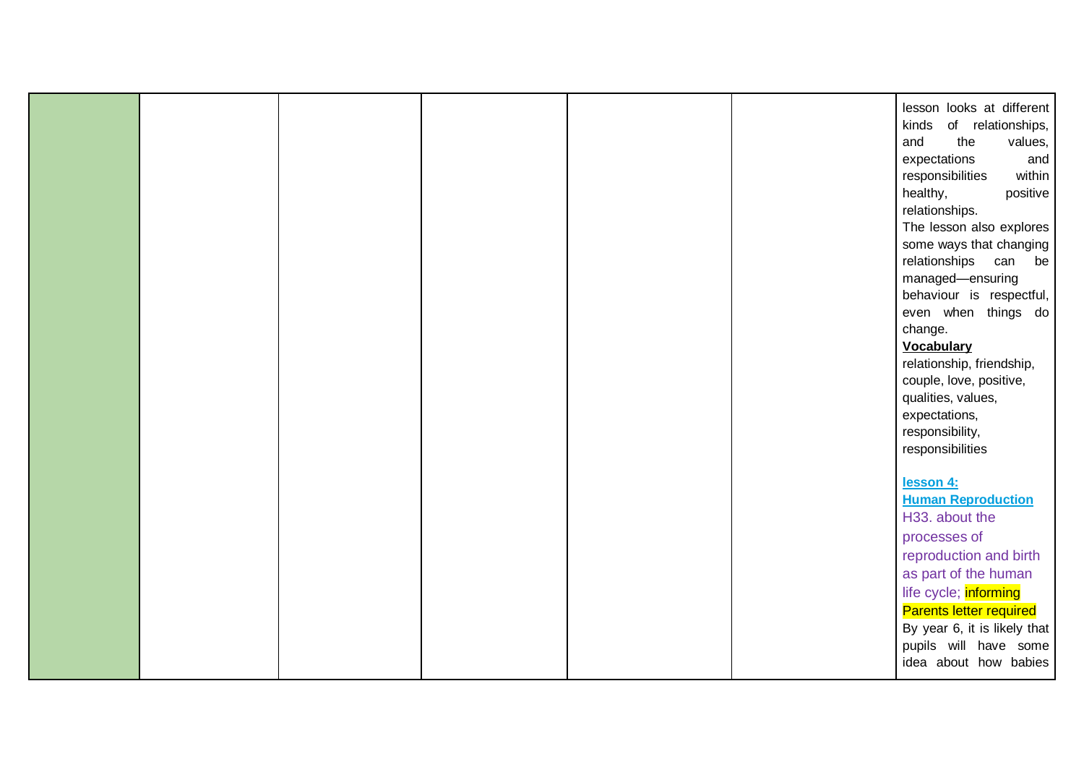|  |  |  | lesson looks at different    |
|--|--|--|------------------------------|
|  |  |  | of relationships,<br>kinds   |
|  |  |  | the<br>values,<br>and        |
|  |  |  | expectations<br>and          |
|  |  |  | responsibilities<br>within   |
|  |  |  |                              |
|  |  |  | healthy,<br>positive         |
|  |  |  | relationships.               |
|  |  |  | The lesson also explores     |
|  |  |  | some ways that changing      |
|  |  |  | relationships can<br>be      |
|  |  |  | managed-ensuring             |
|  |  |  | behaviour is respectful,     |
|  |  |  | even when things do          |
|  |  |  | change.                      |
|  |  |  | <b>Vocabulary</b>            |
|  |  |  | relationship, friendship,    |
|  |  |  | couple, love, positive,      |
|  |  |  | qualities, values,           |
|  |  |  | expectations,                |
|  |  |  | responsibility,              |
|  |  |  | responsibilities             |
|  |  |  |                              |
|  |  |  | lesson 4:                    |
|  |  |  | <b>Human Reproduction</b>    |
|  |  |  | H33. about the               |
|  |  |  | processes of                 |
|  |  |  | reproduction and birth       |
|  |  |  |                              |
|  |  |  | as part of the human         |
|  |  |  | life cycle; informing        |
|  |  |  | Parents letter required      |
|  |  |  | By year 6, it is likely that |
|  |  |  | pupils will have some        |
|  |  |  | idea about how babies        |
|  |  |  |                              |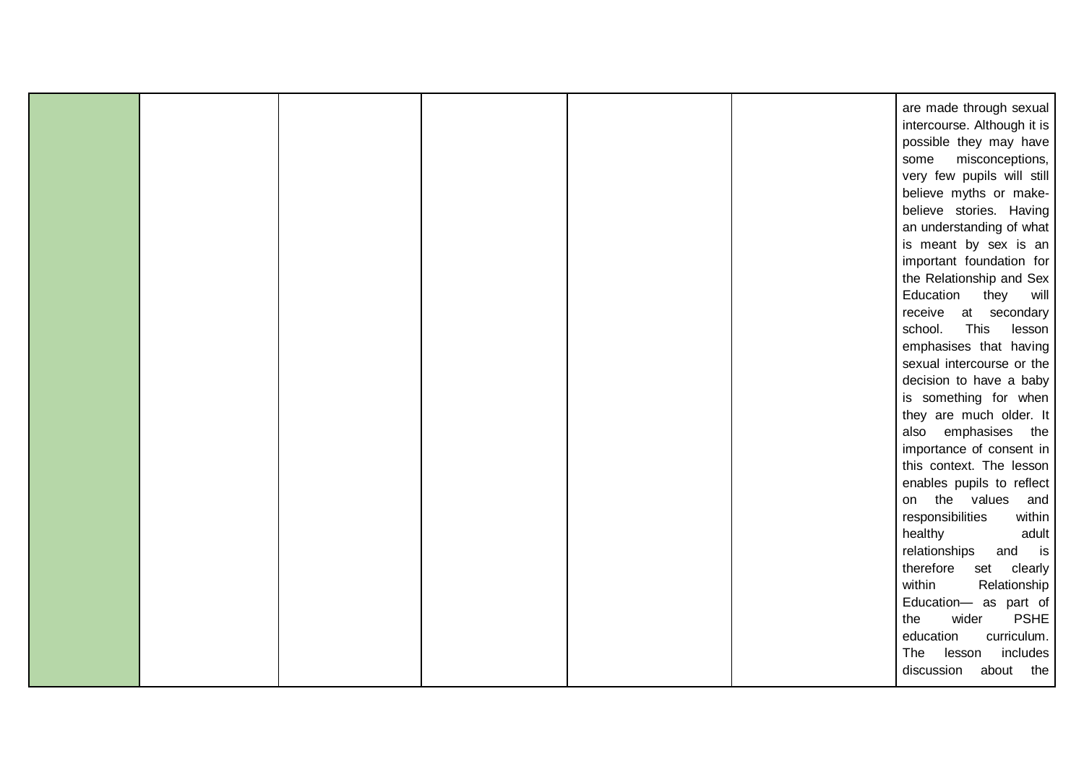| are made through sexual     |
|-----------------------------|
| intercourse. Although it is |
| possible they may have      |
| misconceptions,<br>some     |
| very few pupils will still  |
| believe myths or make-      |
| believe stories. Having     |
|                             |
| an understanding of what    |
| is meant by sex is an       |
| important foundation for    |
| the Relationship and Sex    |
| Education<br>they<br>will   |
| receive at secondary        |
| This<br>school.<br>lesson   |
| emphasises that having      |
| sexual intercourse or the   |
| decision to have a baby     |
| is something for when       |
| they are much older. It     |
| also emphasises the         |
| importance of consent in    |
| this context. The lesson    |
| enables pupils to reflect   |
| on the values<br>and        |
| responsibilities<br>within  |
| healthy<br>adult            |
| is<br>relationships and     |
| therefore<br>clearly<br>set |
| within                      |
| Relationship                |
| Education- as part of       |
| wider<br><b>PSHE</b><br>the |
| curriculum.<br>education    |
| includes<br>The<br>lesson   |
| discussion<br>about the     |